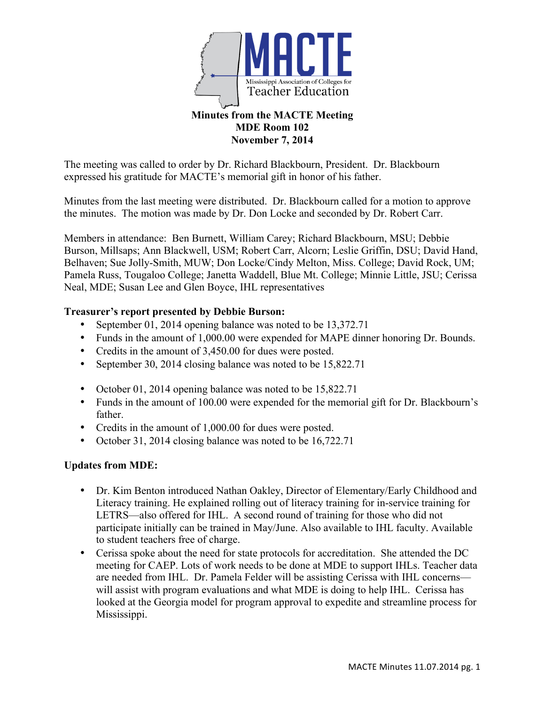

## **Minutes from the MACTE Meeting MDE Room 102 November 7, 2014**

The meeting was called to order by Dr. Richard Blackbourn, President. Dr. Blackbourn expressed his gratitude for MACTE's memorial gift in honor of his father.

Minutes from the last meeting were distributed. Dr. Blackbourn called for a motion to approve the minutes. The motion was made by Dr. Don Locke and seconded by Dr. Robert Carr.

Members in attendance: Ben Burnett, William Carey; Richard Blackbourn, MSU; Debbie Burson, Millsaps; Ann Blackwell, USM; Robert Carr, Alcorn; Leslie Griffin, DSU; David Hand, Belhaven; Sue Jolly-Smith, MUW; Don Locke/Cindy Melton, Miss. College; David Rock, UM; Pamela Russ, Tougaloo College; Janetta Waddell, Blue Mt. College; Minnie Little, JSU; Cerissa Neal, MDE; Susan Lee and Glen Boyce, IHL representatives

## **Treasurer's report presented by Debbie Burson:**

- September 01, 2014 opening balance was noted to be 13,372.71
- Funds in the amount of 1,000.00 were expended for MAPE dinner honoring Dr. Bounds.
- Credits in the amount of 3,450.00 for dues were posted.
- September 30, 2014 closing balance was noted to be 15,822.71
- October 01, 2014 opening balance was noted to be 15,822.71
- Funds in the amount of 100.00 were expended for the memorial gift for Dr. Blackbourn's father.
- Credits in the amount of 1,000.00 for dues were posted.
- October 31, 2014 closing balance was noted to be 16,722.71

# **Updates from MDE:**

- Dr. Kim Benton introduced Nathan Oakley, Director of Elementary/Early Childhood and Literacy training. He explained rolling out of literacy training for in-service training for LETRS—also offered for IHL. A second round of training for those who did not participate initially can be trained in May/June. Also available to IHL faculty. Available to student teachers free of charge.
- Cerissa spoke about the need for state protocols for accreditation. She attended the DC meeting for CAEP. Lots of work needs to be done at MDE to support IHLs. Teacher data are needed from IHL. Dr. Pamela Felder will be assisting Cerissa with IHL concerns will assist with program evaluations and what MDE is doing to help IHL. Cerissa has looked at the Georgia model for program approval to expedite and streamline process for Mississippi.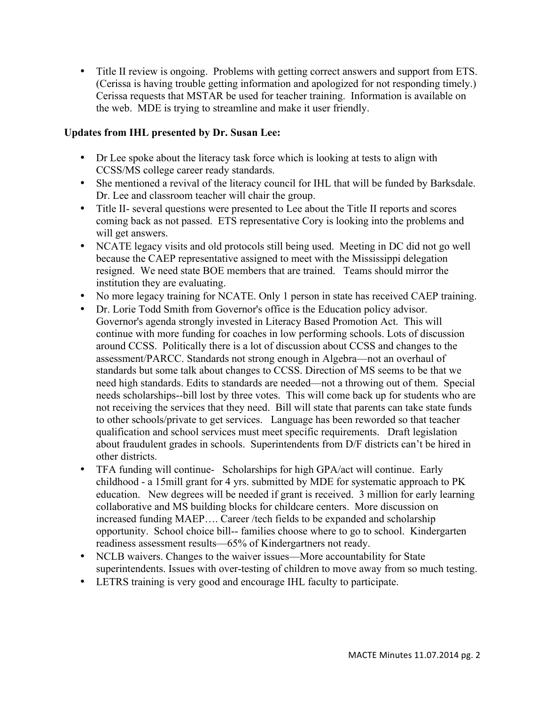• Title II review is ongoing. Problems with getting correct answers and support from ETS. (Cerissa is having trouble getting information and apologized for not responding timely.) Cerissa requests that MSTAR be used for teacher training. Information is available on the web. MDE is trying to streamline and make it user friendly.

# **Updates from IHL presented by Dr. Susan Lee:**

- Dr Lee spoke about the literacy task force which is looking at tests to align with CCSS/MS college career ready standards.
- She mentioned a revival of the literacy council for IHL that will be funded by Barksdale. Dr. Lee and classroom teacher will chair the group.
- Title II- several questions were presented to Lee about the Title II reports and scores coming back as not passed. ETS representative Cory is looking into the problems and will get answers.
- NCATE legacy visits and old protocols still being used. Meeting in DC did not go well because the CAEP representative assigned to meet with the Mississippi delegation resigned. We need state BOE members that are trained. Teams should mirror the institution they are evaluating.
- No more legacy training for NCATE. Only 1 person in state has received CAEP training.
- Dr. Lorie Todd Smith from Governor's office is the Education policy advisor. Governor's agenda strongly invested in Literacy Based Promotion Act. This will continue with more funding for coaches in low performing schools. Lots of discussion around CCSS. Politically there is a lot of discussion about CCSS and changes to the assessment/PARCC. Standards not strong enough in Algebra—not an overhaul of standards but some talk about changes to CCSS. Direction of MS seems to be that we need high standards. Edits to standards are needed—not a throwing out of them. Special needs scholarships--bill lost by three votes. This will come back up for students who are not receiving the services that they need. Bill will state that parents can take state funds to other schools/private to get services. Language has been reworded so that teacher qualification and school services must meet specific requirements. Draft legislation about fraudulent grades in schools. Superintendents from D/F districts can't be hired in other districts.
- TFA funding will continue- Scholarships for high GPA/act will continue. Early childhood - a 15mill grant for 4 yrs. submitted by MDE for systematic approach to PK education. New degrees will be needed if grant is received. 3 million for early learning collaborative and MS building blocks for childcare centers. More discussion on increased funding MAEP…. Career /tech fields to be expanded and scholarship opportunity. School choice bill-- families choose where to go to school. Kindergarten readiness assessment results—65% of Kindergartners not ready.
- NCLB waivers. Changes to the waiver issues—More accountability for State superintendents. Issues with over-testing of children to move away from so much testing.
- LETRS training is very good and encourage IHL faculty to participate.